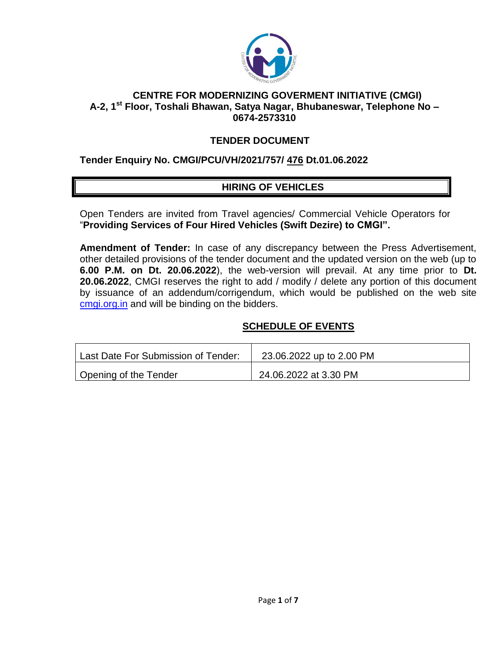

#### **CENTRE FOR MODERNIZING GOVERMENT INITIATIVE (CMGI) A-2, 1st Floor, Toshali Bhawan, Satya Nagar, Bhubaneswar, Telephone No – 0674-2573310**

## **TENDER DOCUMENT**

#### **Tender Enquiry No. CMGI/PCU/VH/2021/757/ 476 Dt.01.06.2022**

## **HIRING OF VEHICLES**

Open Tenders are invited from Travel agencies/ Commercial Vehicle Operators for "**Providing Services of Four Hired Vehicles (Swift Dezire) to CMGI".** 

**Amendment of Tender:** In case of any discrepancy between the Press Advertisement, other detailed provisions of the tender document and the updated version on the web (up to **6.00 P.M. on Dt. 20.06.2022**), the web-version will prevail. At any time prior to **Dt. 20.06.2022**, CMGI reserves the right to add / modify / delete any portion of this document by issuance of an addendum/corrigendum, which would be published on the web site cmgi.org.in and will be binding on the bidders.

## **SCHEDULE OF EVENTS**

| Last Date For Submission of Tender: | 23.06.2022 up to 2.00 PM |
|-------------------------------------|--------------------------|
| Opening of the Tender               | 24.06.2022 at 3.30 PM    |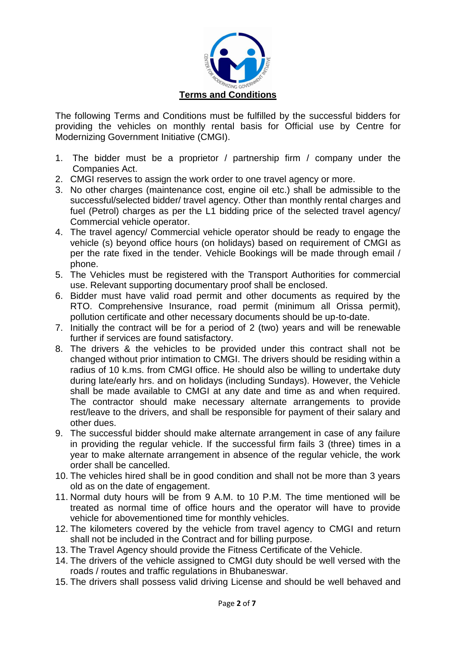

The following Terms and Conditions must be fulfilled by the successful bidders for providing the vehicles on monthly rental basis for Official use by Centre for Modernizing Government Initiative (CMGI).

- 1. The bidder must be a proprietor / partnership firm / company under the Companies Act.
- 2. CMGI reserves to assign the work order to one travel agency or more.
- 3. No other charges (maintenance cost, engine oil etc.) shall be admissible to the successful/selected bidder/ travel agency. Other than monthly rental charges and fuel (Petrol) charges as per the L1 bidding price of the selected travel agency/ Commercial vehicle operator.
- 4. The travel agency/ Commercial vehicle operator should be ready to engage the vehicle (s) beyond office hours (on holidays) based on requirement of CMGI as per the rate fixed in the tender. Vehicle Bookings will be made through email / phone.
- 5. The Vehicles must be registered with the Transport Authorities for commercial use. Relevant supporting documentary proof shall be enclosed.
- 6. Bidder must have valid road permit and other documents as required by the RTO. Comprehensive Insurance, road permit (minimum all Orissa permit), pollution certificate and other necessary documents should be up-to-date.
- 7. Initially the contract will be for a period of 2 (two) years and will be renewable further if services are found satisfactory.
- 8. The drivers & the vehicles to be provided under this contract shall not be changed without prior intimation to CMGI. The drivers should be residing within a radius of 10 k.ms. from CMGI office. He should also be willing to undertake duty during late/early hrs. and on holidays (including Sundays). However, the Vehicle shall be made available to CMGI at any date and time as and when required. The contractor should make necessary alternate arrangements to provide rest/leave to the drivers, and shall be responsible for payment of their salary and other dues.
- 9. The successful bidder should make alternate arrangement in case of any failure in providing the regular vehicle. If the successful firm fails 3 (three) times in a year to make alternate arrangement in absence of the regular vehicle, the work order shall be cancelled.
- 10. The vehicles hired shall be in good condition and shall not be more than 3 years old as on the date of engagement.
- 11. Normal duty hours will be from 9 A.M. to 10 P.M. The time mentioned will be treated as normal time of office hours and the operator will have to provide vehicle for abovementioned time for monthly vehicles.
- 12. The kilometers covered by the vehicle from travel agency to CMGI and return shall not be included in the Contract and for billing purpose.
- 13. The Travel Agency should provide the Fitness Certificate of the Vehicle.
- 14. The drivers of the vehicle assigned to CMGI duty should be well versed with the roads / routes and traffic regulations in Bhubaneswar.
- 15. The drivers shall possess valid driving License and should be well behaved and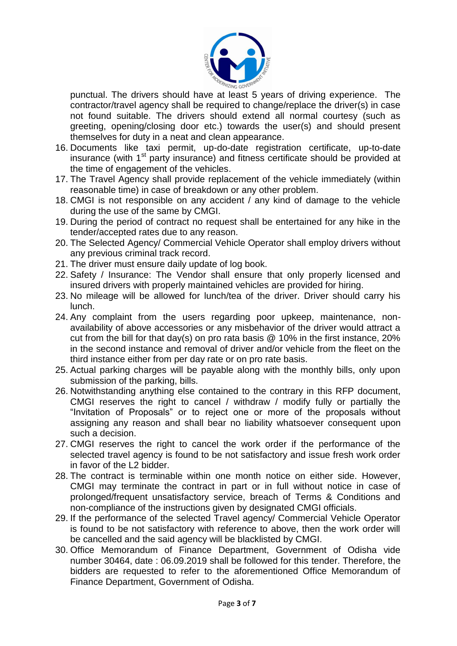

punctual. The drivers should have at least 5 years of driving experience. The contractor/travel agency shall be required to change/replace the driver(s) in case not found suitable. The drivers should extend all normal courtesy (such as greeting, opening/closing door etc.) towards the user(s) and should present themselves for duty in a neat and clean appearance.

- 16. Documents like taxi permit, up-do-date registration certificate, up-to-date insurance (with 1<sup>st</sup> party insurance) and fitness certificate should be provided at the time of engagement of the vehicles.
- 17. The Travel Agency shall provide replacement of the vehicle immediately (within reasonable time) in case of breakdown or any other problem.
- 18. CMGI is not responsible on any accident / any kind of damage to the vehicle during the use of the same by CMGI.
- 19. During the period of contract no request shall be entertained for any hike in the tender/accepted rates due to any reason.
- 20. The Selected Agency/ Commercial Vehicle Operator shall employ drivers without any previous criminal track record.
- 21. The driver must ensure daily update of log book.
- 22. Safety / Insurance: The Vendor shall ensure that only properly licensed and insured drivers with properly maintained vehicles are provided for hiring.
- 23. No mileage will be allowed for lunch/tea of the driver. Driver should carry his lunch.
- 24. Any complaint from the users regarding poor upkeep, maintenance, nonavailability of above accessories or any misbehavior of the driver would attract a cut from the bill for that day(s) on pro rata basis @ 10% in the first instance, 20% in the second instance and removal of driver and/or vehicle from the fleet on the third instance either from per day rate or on pro rate basis.
- 25. Actual parking charges will be payable along with the monthly bills, only upon submission of the parking, bills.
- 26. Notwithstanding anything else contained to the contrary in this RFP document, CMGI reserves the right to cancel / withdraw / modify fully or partially the "Invitation of Proposals" or to reject one or more of the proposals without assigning any reason and shall bear no liability whatsoever consequent upon such a decision.
- 27. CMGI reserves the right to cancel the work order if the performance of the selected travel agency is found to be not satisfactory and issue fresh work order in favor of the L2 bidder.
- 28. The contract is terminable within one month notice on either side. However, CMGI may terminate the contract in part or in full without notice in case of prolonged/frequent unsatisfactory service, breach of Terms & Conditions and non-compliance of the instructions given by designated CMGI officials.
- 29. If the performance of the selected Travel agency/ Commercial Vehicle Operator is found to be not satisfactory with reference to above, then the work order will be cancelled and the said agency will be blacklisted by CMGI.
- 30. Office Memorandum of Finance Department, Government of Odisha vide number 30464, date : 06.09.2019 shall be followed for this tender. Therefore, the bidders are requested to refer to the aforementioned Office Memorandum of Finance Department, Government of Odisha.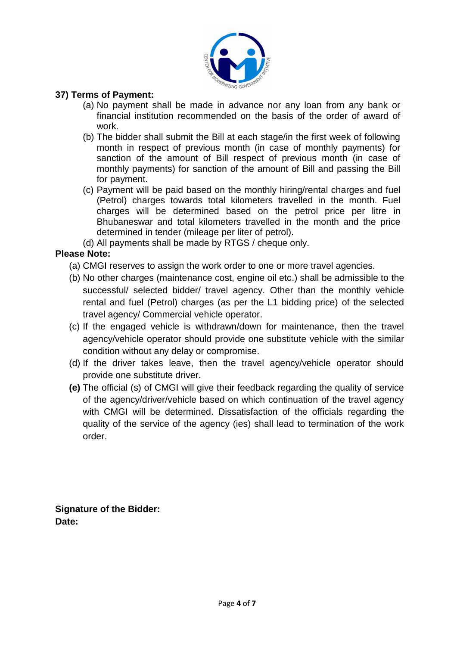

## **37) Terms of Payment:**

- (a) No payment shall be made in advance nor any loan from any bank or financial institution recommended on the basis of the order of award of work.
- (b) The bidder shall submit the Bill at each stage/in the first week of following month in respect of previous month (in case of monthly payments) for sanction of the amount of Bill respect of previous month (in case of monthly payments) for sanction of the amount of Bill and passing the Bill for payment.
- (c) Payment will be paid based on the monthly hiring/rental charges and fuel (Petrol) charges towards total kilometers travelled in the month. Fuel charges will be determined based on the petrol price per litre in Bhubaneswar and total kilometers travelled in the month and the price determined in tender (mileage per liter of petrol).
- (d) All payments shall be made by RTGS / cheque only.

## **Please Note:**

- (a) CMGI reserves to assign the work order to one or more travel agencies.
- (b) No other charges (maintenance cost, engine oil etc.) shall be admissible to the successful/ selected bidder/ travel agency. Other than the monthly vehicle rental and fuel (Petrol) charges (as per the L1 bidding price) of the selected travel agency/ Commercial vehicle operator.
- (c) If the engaged vehicle is withdrawn/down for maintenance, then the travel agency/vehicle operator should provide one substitute vehicle with the similar condition without any delay or compromise.
- (d) If the driver takes leave, then the travel agency/vehicle operator should provide one substitute driver.
- **(e)** The official (s) of CMGI will give their feedback regarding the quality of service of the agency/driver/vehicle based on which continuation of the travel agency with CMGI will be determined. Dissatisfaction of the officials regarding the quality of the service of the agency (ies) shall lead to termination of the work order.

**Signature of the Bidder: Date:**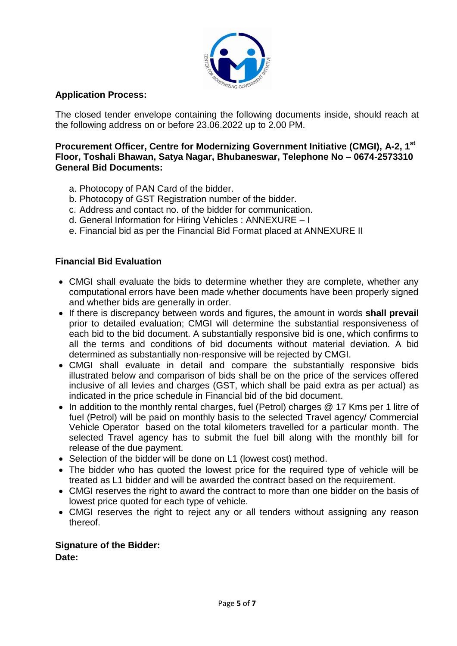

## **Application Process:**

The closed tender envelope containing the following documents inside, should reach at the following address on or before 23.06.2022 up to 2.00 PM.

#### **Procurement Officer, Centre for Modernizing Government Initiative (CMGI), A-2, 1st Floor, Toshali Bhawan, Satya Nagar, Bhubaneswar, Telephone No – 0674-2573310 General Bid Documents:**

- a. Photocopy of PAN Card of the bidder.
- b. Photocopy of GST Registration number of the bidder.
- c. Address and contact no. of the bidder for communication.
- d. General Information for Hiring Vehicles : ANNEXURE I
- e. Financial bid as per the Financial Bid Format placed at ANNEXURE II

## **Financial Bid Evaluation**

- CMGI shall evaluate the bids to determine whether they are complete, whether any computational errors have been made whether documents have been properly signed and whether bids are generally in order.
- If there is discrepancy between words and figures, the amount in words **shall prevail** prior to detailed evaluation; CMGI will determine the substantial responsiveness of each bid to the bid document. A substantially responsive bid is one, which confirms to all the terms and conditions of bid documents without material deviation. A bid determined as substantially non-responsive will be rejected by CMGI.
- CMGI shall evaluate in detail and compare the substantially responsive bids illustrated below and comparison of bids shall be on the price of the services offered inclusive of all levies and charges (GST, which shall be paid extra as per actual) as indicated in the price schedule in Financial bid of the bid document.
- In addition to the monthly rental charges, fuel (Petrol) charges @ 17 Kms per 1 litre of fuel (Petrol) will be paid on monthly basis to the selected Travel agency/ Commercial Vehicle Operator based on the total kilometers travelled for a particular month. The selected Travel agency has to submit the fuel bill along with the monthly bill for release of the due payment.
- Selection of the bidder will be done on L1 (lowest cost) method.
- The bidder who has quoted the lowest price for the required type of vehicle will be treated as L1 bidder and will be awarded the contract based on the requirement.
- CMGI reserves the right to award the contract to more than one bidder on the basis of lowest price quoted for each type of vehicle.
- CMGI reserves the right to reject any or all tenders without assigning any reason thereof.

#### **Signature of the Bidder:**

**Date:**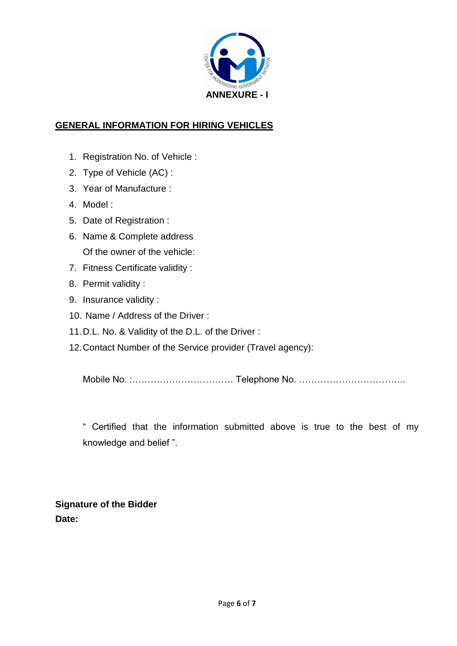

# **GENERAL INFORMATION FOR HIRING VEHICLES**

- 1. Registration No. of Vehicle :
- 2. Type of Vehicle (AC) :
- 3. Year of Manufacture :
- 4. Model :
- 5. Date of Registration :
- 6. Name & Complete address Of the owner of the vehicle:
- 7. Fitness Certificate validity :
- 8. Permit validity :
- 9. Insurance validity :
- 10. Name / Address of the Driver :
- 11.D.L. No. & Validity of the D.L. of the Driver :
- 12.Contact Number of the Service provider (Travel agency):

Mobile No. :…………………………… Telephone No. ……………………………..

" Certified that the information submitted above is true to the best of my knowledge and belief ".

**Signature of the Bidder Date:**